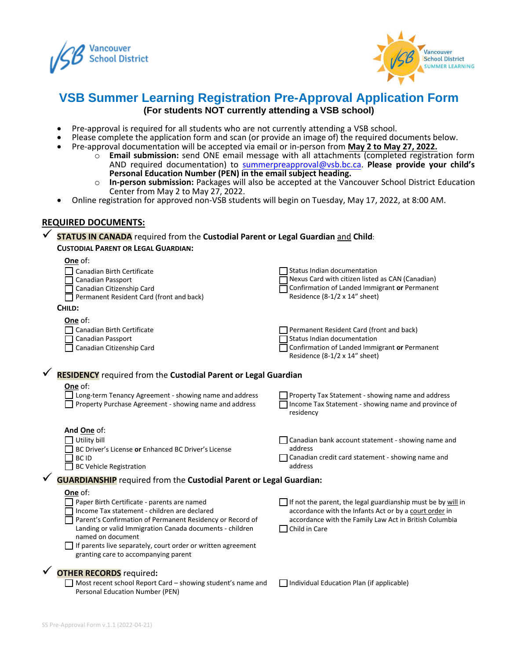



# **VSB Summer Learning Registration Pre-Approval Application Form (For students NOT currently attending a VSB school)**

- Pre-approval is required for all students who are not currently attending a VSB school.
- Please complete the application form and scan (or provide an image of) the required documents below.
- Pre-approval documentation will be accepted via email or in-person from **May 2 to May 27, 2022.**
	- o **Email submission:** send ONE email message with all attachments (completed registration form AND required documentation) to [summerpreapproval@vsb.bc.ca.](mailto:summerpreapproval@vsb.bc.ca) **Please provide your child's Personal Education Number (PEN) in the email subject heading.**
	- o **In-person submission:** Packages will also be accepted at the Vancouver School District Education Center from May 2 to May 27, 2022.
- Online registration for approved non-VSB students will begin on Tuesday, May 17, 2022, at 8:00 AM.

#### **REQUIRED DOCUMENTS:**

✓ **STATUS IN CANADA** required from the **Custodial Parent or Legal Guardian** and **Child**:

#### **CUSTODIAL PARENT OR LEGAL GUARDIAN:**

|                                                                           | One of:                                                               |                                                                                |
|---------------------------------------------------------------------------|-----------------------------------------------------------------------|--------------------------------------------------------------------------------|
|                                                                           | Canadian Birth Certificate                                            | Status Indian documentation                                                    |
|                                                                           | <b>Canadian Passport</b>                                              | Nexus Card with citizen listed as CAN (Canadian)                               |
|                                                                           | Canadian Citizenship Card                                             | Confirmation of Landed Immigrant or Permanent                                  |
|                                                                           | Permanent Resident Card (front and back)                              | Residence (8-1/2 x 14" sheet)                                                  |
|                                                                           | CHILD:                                                                |                                                                                |
|                                                                           | One of:                                                               |                                                                                |
|                                                                           | Canadian Birth Certificate                                            | Permanent Resident Card (front and back)                                       |
|                                                                           | <b>Canadian Passport</b>                                              | Status Indian documentation                                                    |
|                                                                           | Canadian Citizenship Card                                             | Confirmation of Landed Immigrant or Permanent<br>Residence (8-1/2 x 14" sheet) |
|                                                                           | <b>RESIDENCY</b> required from the Custodial Parent or Legal Guardian |                                                                                |
|                                                                           | One of:                                                               |                                                                                |
|                                                                           | I Long-term Tenancy Agreement - showing name and address              | Property Tax Statement - showing name and address                              |
|                                                                           | Property Purchase Agreement - showing name and address                | Income Tax Statement - showing name and province of                            |
|                                                                           |                                                                       | residency                                                                      |
|                                                                           |                                                                       |                                                                                |
|                                                                           | And One of:                                                           |                                                                                |
|                                                                           | Utility bill                                                          | Canadian bank account statement - showing name and                             |
|                                                                           | BC Driver's License or Enhanced BC Driver's License                   | address                                                                        |
|                                                                           | <b>BCID</b>                                                           | Canadian credit card statement - showing name and                              |
|                                                                           | <b>BC Vehicle Registration</b>                                        | address                                                                        |
| <b>GUARDIANSHIP</b> required from the Custodial Parent or Legal Guardian: |                                                                       |                                                                                |
|                                                                           | One of:                                                               |                                                                                |
|                                                                           | Paper Birth Certificate - parents are named                           | If not the parent, the legal guardianship must be by will in                   |
|                                                                           | Income Tax statement - children are declared                          | accordance with the Infants Act or by a court order in                         |
|                                                                           | Parent's Confirmation of Permanent Residency or Record of             | accordance with the Family Law Act in British Columbia                         |
|                                                                           | Landing or valid Immigration Canada documents - children              | Child in Care                                                                  |
|                                                                           | named on document                                                     |                                                                                |
|                                                                           | $\Box$ If parents live separately, court order or written agreement   |                                                                                |
|                                                                           | granting care to accompanying parent                                  |                                                                                |
|                                                                           | <b>OTHER RECORDS</b> required:                                        |                                                                                |
|                                                                           | Most recent school Report Card - showing student's name and           |                                                                                |
|                                                                           | Personal Education Number (PEN)                                       | Individual Education Plan (if applicable)                                      |
|                                                                           |                                                                       |                                                                                |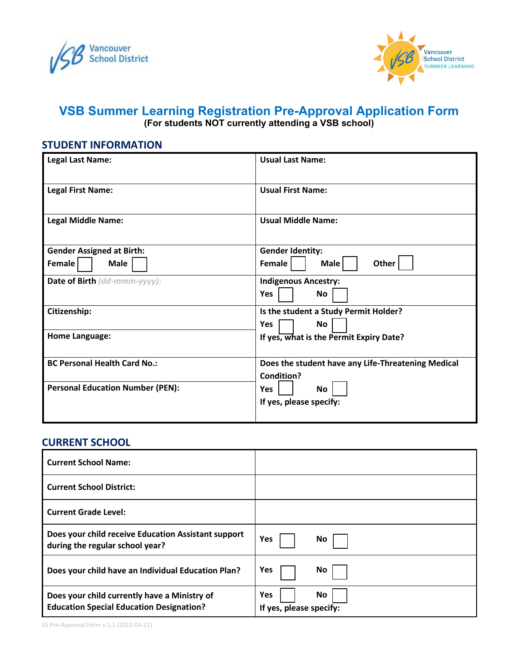



# **VSB Summer Learning Registration Pre-Approval Application Form (For students NOT currently attending a VSB school)**

# **STUDENT INFORMATION**

| <b>Legal Last Name:</b>                 | <b>Usual Last Name:</b>                                                 |
|-----------------------------------------|-------------------------------------------------------------------------|
| <b>Legal First Name:</b>                | <b>Usual First Name:</b>                                                |
| <b>Legal Middle Name:</b>               | <b>Usual Middle Name:</b>                                               |
| <b>Gender Assigned at Birth:</b>        | <b>Gender Identity:</b>                                                 |
| Female<br>Male                          | Other<br>Female<br>Male                                                 |
| Date of Birth (dd-mmm-yyyy):            | <b>Indigenous Ancestry:</b><br><b>Yes</b><br>No                         |
| Citizenship:                            | Is the student a Study Permit Holder?<br>No<br><b>Yes</b>               |
| <b>Home Language:</b>                   | If yes, what is the Permit Expiry Date?                                 |
| <b>BC Personal Health Card No.:</b>     | Does the student have any Life-Threatening Medical<br><b>Condition?</b> |
| <b>Personal Education Number (PEN):</b> | <b>Yes</b><br>No<br>If yes, please specify:                             |

### **CURRENT SCHOOL**

| <b>Current School Name:</b>                                                                     |                                              |
|-------------------------------------------------------------------------------------------------|----------------------------------------------|
| <b>Current School District:</b>                                                                 |                                              |
| <b>Current Grade Level:</b>                                                                     |                                              |
| Does your child receive Education Assistant support<br>during the regular school year?          | <b>Yes</b><br>No                             |
| Does your child have an Individual Education Plan?                                              | Yes<br>No                                    |
| Does your child currently have a Ministry of<br><b>Education Special Education Designation?</b> | <b>Yes</b><br>No.<br>If yes, please specify: |